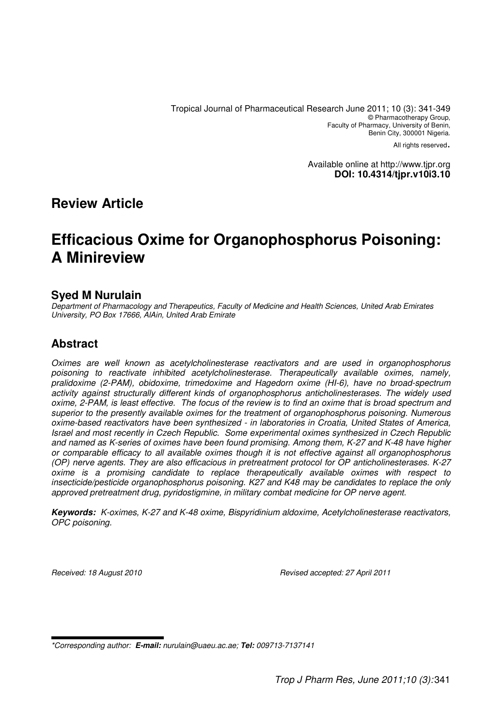Tropical Journal of Pharmaceutical Research June 2011; 10 (3): 341-349 © Pharmacotherapy Group, Faculty of Pharmacy, University of Benin, Benin City, 300001 Nigeria.

All rights reserved.

Available online at http://www.tjpr.org **DOI: 10.4314/tjpr.v10i3.10** 

# **Review Article**

# **Efficacious Oxime for Organophosphorus Poisoning: A Minireview**

## **Syed M Nurulain**

Department of Pharmacology and Therapeutics, Faculty of Medicine and Health Sciences, United Arab Emirates University, PO Box 17666, AlAin, United Arab Emirate

# **Abstract**

Oximes are well known as acetylcholinesterase reactivators and are used in organophosphorus poisoning to reactivate inhibited acetylcholinesterase. Therapeutically available oximes, namely, pralidoxime (2-PAM), obidoxime, trimedoxime and Hagedorn oxime (HI-6), have no broad-spectrum activity against structurally different kinds of organophosphorus anticholinesterases. The widely used oxime, 2-PAM, is least effective. The focus of the review is to find an oxime that is broad spectrum and superior to the presently available oximes for the treatment of organophosphorus poisoning. Numerous oxime-based reactivators have been synthesized - in laboratories in Croatia, United States of America, Israel and most recently in Czech Republic. Some experimental oximes synthesized in Czech Republic and named as K-series of oximes have been found promising. Among them, K-27 and K-48 have higher or comparable efficacy to all available oximes though it is not effective against all organophosphorus (OP) nerve agents. They are also efficacious in pretreatment protocol for OP anticholinesterases. K-27 oxime is a promising candidate to replace therapeutically available oximes with respect to insecticide/pesticide organophosphorus poisoning. K27 and K48 may be candidates to replace the only approved pretreatment drug, pyridostigmine, in military combat medicine for OP nerve agent.

**Keywords:** K-oximes, K-27 and K-48 oxime, Bispyridinium aldoxime, Acetylcholinesterase reactivators, OPC poisoning.

Received: 18 August 2010 **Revised accepted: 27 April 2011** 

\*Corresponding author: **E-mail:** nurulain@uaeu.ac.ae; **Tel:** 009713-7137141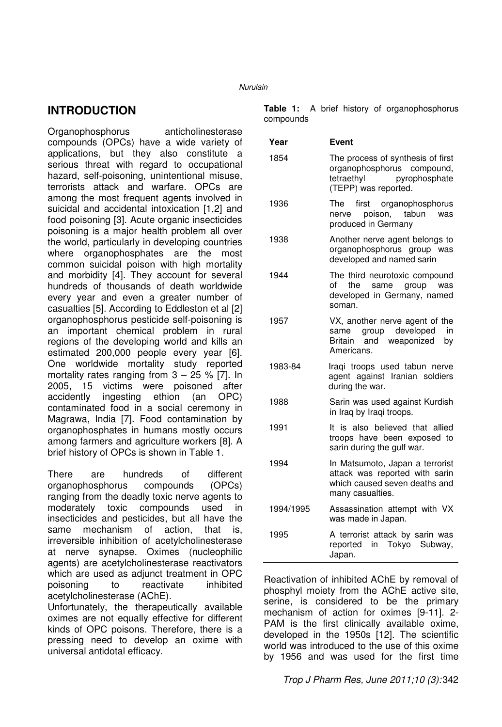# **INTRODUCTION**

Organophosphorus anticholinesterase compounds (OPCs) have a wide variety of applications, but they also constitute a serious threat with regard to occupational hazard, self-poisoning, unintentional misuse, terrorists attack and warfare. OPCs are among the most frequent agents involved in suicidal and accidental intoxication [1,2] and food poisoning [3]. Acute organic insecticides poisoning is a major health problem all over the world, particularly in developing countries where organophosphates are the most common suicidal poison with high mortality and morbidity [4]. They account for several hundreds of thousands of death worldwide every year and even a greater number of casualties [5]. According to Eddleston et al [2] organophosphorus pesticide self-poisoning is an important chemical problem in rural regions of the developing world and kills an estimated 200,000 people every year [6]. One worldwide mortality study reported mortality rates ranging from  $3 - 25$  % [7]. In 2005, 15 victims were poisoned after accidently ingesting ethion (an OPC) contaminated food in a social ceremony in Magrawa, India [7]. Food contamination by organophosphates in humans mostly occurs among farmers and agriculture workers [8]. A brief history of OPCs is shown in Table 1.

There are hundreds of different organophosphorus compounds (OPCs) ranging from the deadly toxic nerve agents to moderately toxic compounds used in insecticides and pesticides, but all have the same mechanism of action, that is, irreversible inhibition of acetylcholinesterase at nerve synapse. Oximes (nucleophilic agents) are acetylcholinesterase reactivators which are used as adjunct treatment in OPC poisoning to reactivate inhibited acetylcholinesterase (AChE).

Unfortunately, the therapeutically available oximes are not equally effective for different kinds of OPC poisons. Therefore, there is a pressing need to develop an oxime with universal antidotal efficacy.

|           |  |  |  |  | Table 1: A brief history of organophosphorus |
|-----------|--|--|--|--|----------------------------------------------|
| compounds |  |  |  |  |                                              |

| Year      | Event                                                                                                                  |
|-----------|------------------------------------------------------------------------------------------------------------------------|
| 1854      | The process of synthesis of first<br>organophosphorus compound,<br>tetraethyl<br>pyrophosphate<br>(TEPP) was reported. |
| 1936      | first<br>organophosphorus<br>The<br>poison, tabun<br>nerve<br>was<br>produced in Germany                               |
| 1938      | Another nerve agent belongs to<br>organophosphorus group was<br>developed and named sarin                              |
| 1944      | The third neurotoxic compound<br>the<br>same<br>group<br>of<br>was<br>developed in Germany, named<br>soman.            |
| 1957      | VX, another nerve agent of the<br>group developed<br>in<br>same<br>and weaponized<br>Britain<br>b٧<br>Americans.       |
| 1983-84   | Iraqi troops used tabun nerve<br>agent against Iranian soldiers<br>during the war.                                     |
| 1988      | Sarin was used against Kurdish<br>in Iraq by Iraqi troops.                                                             |
| 1991      | It is also believed that allied<br>troops have been exposed to<br>sarin during the gulf war.                           |
| 1994      | In Matsumoto, Japan a terrorist<br>attack was reported with sarin<br>which caused seven deaths and<br>many casualties. |
| 1994/1995 | Assassination attempt with VX<br>was made in Japan.                                                                    |
| 1995      | A terrorist attack by sarin was<br>reported in Tokyo<br>Subway,<br>Japan.                                              |

Reactivation of inhibited AChE by removal of phosphyl moiety from the AChE active site, serine, is considered to be the primary mechanism of action for oximes [9-11]. 2- PAM is the first clinically available oxime, developed in the 1950s [12]. The scientific world was introduced to the use of this oxime by 1956 and was used for the first time

### Trop J Pharm Res, June 2011;10 (3): 342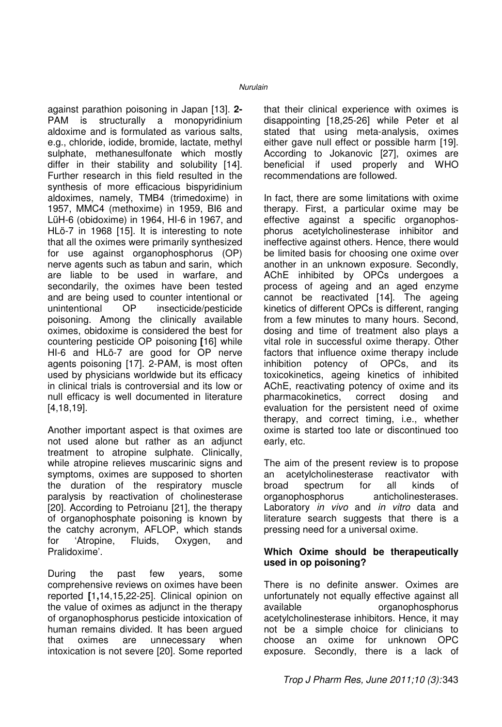against parathion poisoning in Japan [13]. **2-** PAM is structurally a monopyridinium aldoxime and is formulated as various salts, e.g., chloride, iodide, bromide, lactate, methyl sulphate, methanesulfonate which mostly differ in their stability and solubility [14]. Further research in this field resulted in the synthesis of more efficacious bispyridinium aldoximes, namely, TMB4 (trimedoxime) in 1957, MMC4 (methoxime) in 1959, BI6 and LüH-6 (obidoxime) in 1964, HI-6 in 1967, and HLö-7 in 1968 [15]. It is interesting to note that all the oximes were primarily synthesized for use against organophosphorus (OP) nerve agents such as tabun and sarin, which are liable to be used in warfare, and secondarily, the oximes have been tested and are being used to counter intentional or unintentional OP insecticide/pesticide poisoning. Among the clinically available oximes, obidoxime is considered the best for countering pesticide OP poisoning **[**16] while HI-6 and HLö-7 are good for OP nerve agents poisoning [17]. 2-PAM, is most often used by physicians worldwide but its efficacy in clinical trials is controversial and its low or null efficacy is well documented in literature [4,18,19].

Another important aspect is that oximes are not used alone but rather as an adjunct treatment to atropine sulphate. Clinically, while atropine relieves muscarinic signs and symptoms, oximes are supposed to shorten the duration of the respiratory muscle paralysis by reactivation of cholinesterase [20]. According to Petroianu [21], the therapy of organophosphate poisoning is known by the catchy acronym, AFLOP, which stands for 'Atropine, Fluids, Oxygen, and Pralidoxime'.

During the past few years, some comprehensive reviews on oximes have been reported **[**1**,**14,15,22-25]. Clinical opinion on the value of oximes as adjunct in the therapy of organophosphorus pesticide intoxication of human remains divided. It has been argued that oximes are unnecessary when intoxication is not severe [20]. Some reported that their clinical experience with oximes is disappointing [18,25-26] while Peter et al stated that using meta-analysis, oximes either gave null effect or possible harm [19]. According to Jokanovic [27], oximes are beneficial if used properly and WHO recommendations are followed.

In fact, there are some limitations with oxime therapy. First, a particular oxime may be effective against a specific organophosphorus acetylcholinesterase inhibitor and ineffective against others. Hence, there would be limited basis for choosing one oxime over another in an unknown exposure. Secondly, AChE inhibited by OPCs undergoes a process of ageing and an aged enzyme cannot be reactivated [14]. The ageing kinetics of different OPCs is different, ranging from a few minutes to many hours. Second, dosing and time of treatment also plays a vital role in successful oxime therapy. Other factors that influence oxime therapy include inhibition potency of OPCs, and its toxicokinetics, ageing kinetics of inhibited AChE, reactivating potency of oxime and its pharmacokinetics, correct dosing and evaluation for the persistent need of oxime therapy, and correct timing, i.e., whether oxime is started too late or discontinued too early, etc.

The aim of the present review is to propose an acetylcholinesterase reactivator with broad spectrum for all kinds of organophosphorus anticholinesterases. Laboratory *in vivo* and *in vitro* data and literature search suggests that there is a pressing need for a universal oxime.

### **Which Oxime should be therapeutically used in op poisoning?**

There is no definite answer. Oximes are unfortunately not equally effective against all available **organophosphorus** acetylcholinesterase inhibitors. Hence, it may not be a simple choice for clinicians to choose an oxime for unknown OPC exposure. Secondly, there is a lack of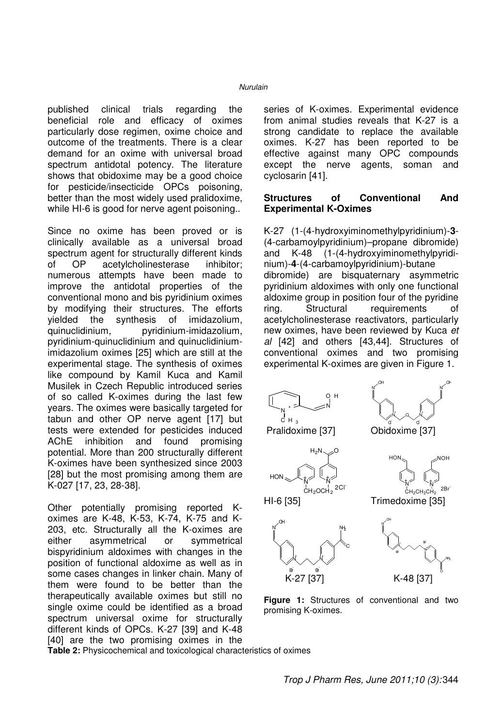published clinical trials regarding the beneficial role and efficacy of oximes particularly dose regimen, oxime choice and outcome of the treatments. There is a clear demand for an oxime with universal broad spectrum antidotal potency. The literature shows that obidoxime may be a good choice for pesticide/insecticide OPCs poisoning, better than the most widely used pralidoxime, while HI-6 is good for nerve agent poisoning..

Since no oxime has been proved or is clinically available as a universal broad spectrum agent for structurally different kinds of OP acetylcholinesterase inhibitor; numerous attempts have been made to improve the antidotal properties of the conventional mono and bis pyridinium oximes by modifying their structures. The efforts yielded the synthesis of imidazolium, quinuclidinium, pyridinium-imidazolium, pyridinium-quinuclidinium and quinuclidiniumimidazolium oximes [25] which are still at the experimental stage. The synthesis of oximes like compound by Kamil Kuca and Kamil Musilek in Czech Republic introduced series of so called K-oximes during the last few years. The oximes were basically targeted for tabun and other OP nerve agent [17] but tests were extended for pesticides induced AChE inhibition and found promising potential. More than 200 structurally different K-oximes have been synthesized since 2003 [28] but the most promising among them are K-027 [17, 23, 28-38].

Other potentially promising reported Koximes are K-48, K-53, K-74, K-75 and K-203, etc. Structurally all the K-oximes are either asymmetrical or symmetrical bispyridinium aldoximes with changes in the position of functional aldoxime as well as in some cases changes in linker chain. Many of them were found to be better than the therapeutically available oximes but still no single oxime could be identified as a broad spectrum universal oxime for structurally different kinds of OPCs. K-27 [39] and K-48 [40] are the two promising oximes in the

series of K-oximes. Experimental evidence from animal studies reveals that K-27 is a strong candidate to replace the available oximes. K-27 has been reported to be effective against many OPC compounds except the nerve agents, soman and cyclosarin [41].

### **Structures of Conventional And Experimental K-Oximes**

K-27 (1-(4-hydroxyiminomethylpyridinium)-**3**- (4-carbamoylpyridinium)–propane dibromide) and K-48 (1-(4-hydroxyiminomethylpyridinium)-**4**-(4-carbamoylpyridinium)-butane dibromide) are bisquaternary asymmetric pyridinium aldoximes with only one functional aldoxime group in position four of the pyridine ring. Structural requirements of acetylcholinesterase reactivators, particularly new oximes, have been reviewed by Kuca et al [42] and others [43,44]. Structures of conventional oximes and two promising experimental K-oximes are given in Figure 1.



**Figure 1:** Structures of conventional and two promising K-oximes.

K-27 [37] K-48 [37]

Br-

Br-

**Table 2:** Physicochemical and toxicological characteristics of oximes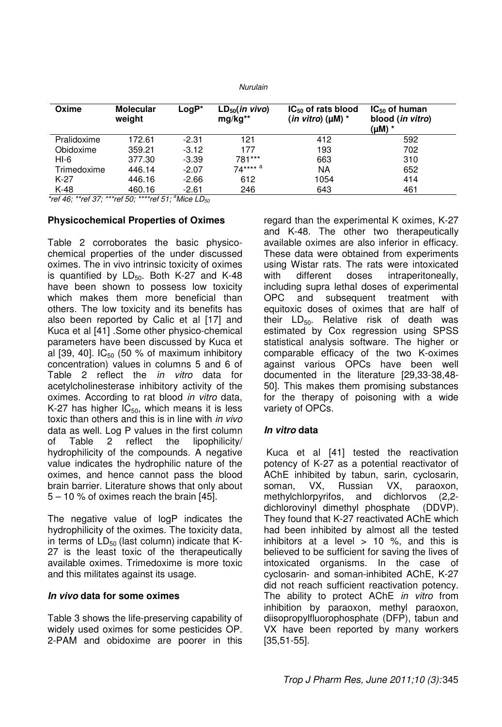| Oxime       | <b>Molecular</b><br>weight | $LogP*$ | $LD_{50}(in vivo)$<br>$mg/kg**$ | $IC_{50}$ of rats blood<br>(in vitro) ( $\mu$ M) * | $IC_{50}$ of human<br>blood (in vitro)<br>(µM) * |
|-------------|----------------------------|---------|---------------------------------|----------------------------------------------------|--------------------------------------------------|
| Pralidoxime | 172.61                     | $-2.31$ | 121                             | 412                                                | 592                                              |
| Obidoxime   | 359.21                     | $-3.12$ | 177                             | 193                                                | 702                                              |
| HI-6        | 377.30                     | $-3.39$ | 781***                          | 663                                                | 310                                              |
| Trimedoxime | 446.14                     | $-2.07$ | $74***^{\;a}$                   | NA                                                 | 652                                              |
| $K-27$      | 446.16                     | $-2.66$ | 612                             | 1054                                               | 414                                              |
| K-48        | 460.16                     | $-2.61$ | 246                             | 643                                                | 461                                              |

\*ref 46; \*\*ref 37; \*\*\*ref 50; \*\*\*\*ref 51;  ${}^{a}$ Mice LD<sub>50</sub>

#### **Physicochemical Properties of Oximes**

Table 2 corroborates the basic physicochemical properties of the under discussed oximes. The in vivo intrinsic toxicity of oximes is quantified by  $LD_{50}$ . Both K-27 and K-48 have been shown to possess low toxicity which makes them more beneficial than others. The low toxicity and its benefits has also been reported by Calic et al [17] and Kuca et al [41] .Some other physico-chemical parameters have been discussed by Kuca et al [39, 40].  $IC_{50}$  (50 % of maximum inhibitory concentration) values in columns 5 and 6 of Table 2 reflect the in vitro data for acetylcholinesterase inhibitory activity of the oximes. According to rat blood in vitro data, K-27 has higher  $IC_{50}$ , which means it is less toxic than others and this is in line with in vivo data as well. Log P values in the first column of Table 2 reflect the lipophilicity/ hydrophilicity of the compounds. A negative value indicates the hydrophilic nature of the oximes, and hence cannot pass the blood brain barrier. Literature shows that only about 5 – 10 % of oximes reach the brain [45].

The negative value of logP indicates the hydrophilicity of the oximes. The toxicity data, in terms of  $LD_{50}$  (last column) indicate that K-27 is the least toxic of the therapeutically available oximes. Trimedoxime is more toxic and this militates against its usage.

### **In vivo data for some oximes**

Table 3 shows the life-preserving capability of widely used oximes for some pesticides OP. 2-PAM and obidoxime are poorer in this

regard than the experimental K oximes, K-27 and K-48. The other two therapeutically available oximes are also inferior in efficacy. These data were obtained from experiments using Wistar rats. The rats were intoxicated with different doses intraperitoneally, including supra lethal doses of experimental OPC and subsequent treatment with equitoxic doses of oximes that are half of their  $LD_{50}$ . Relative risk of death was estimated by Cox regression using SPSS statistical analysis software. The higher or comparable efficacy of the two K-oximes against various OPCs have been well documented in the literature [29,33-38,48- 50]. This makes them promising substances for the therapy of poisoning with a wide variety of OPCs.

### **In vitro data**

 Kuca et al [41] tested the reactivation potency of K-27 as a potential reactivator of AChE inhibited by tabun, sarin, cyclosarin, soman, VX, Russian VX, paraoxon, methylchlorpyrifos, and dichlorvos (2,2 dichlorovinyl dimethyl phosphate (DDVP). They found that K-27 reactivated AChE which had been inhibited by almost all the tested inhibitors at a level  $> 10$  %, and this is believed to be sufficient for saving the lives of intoxicated organisms. In the case of cyclosarin- and soman-inhibited AChE, K-27 did not reach sufficient reactivation potency. The ability to protect AChE in vitro from inhibition by paraoxon, methyl paraoxon, diisopropylfluorophosphate (DFP), tabun and VX have been reported by many workers [35,51-55].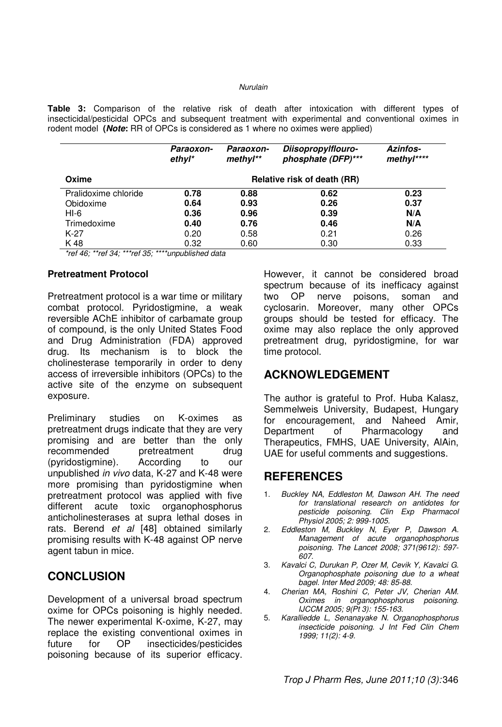**Table 3:** Comparison of the relative risk of death after intoxication with different types of insecticidal/pesticidal OPCs and subsequent treatment with experimental and conventional oximes in rodent model **(Note:** RR of OPCs is considered as 1 where no oximes were applied)

|                      | Paraoxon-<br>$ethyl*$       | Paraoxon-<br>methyl** | Diisopropylflouro-<br>phosphate (DFP)*** | <b>Azinfos-</b><br>methyl**** |  |  |
|----------------------|-----------------------------|-----------------------|------------------------------------------|-------------------------------|--|--|
| Oxime                | Relative risk of death (RR) |                       |                                          |                               |  |  |
| Pralidoxime chloride | 0.78                        | 0.88                  | 0.62                                     | 0.23                          |  |  |
| Obidoxime            | 0.64                        | 0.93                  | 0.26                                     | 0.37                          |  |  |
| $HI-6$               | 0.36                        | 0.96                  | 0.39                                     | N/A                           |  |  |
| Trimedoxime          | 0.40                        | 0.76                  | 0.46                                     | N/A                           |  |  |
| $K-27$               | 0.20                        | 0.58                  | 0.21                                     | 0.26                          |  |  |
| K 48                 | 0.32                        | 0.60                  | 0.30                                     | 0.33                          |  |  |

\*ref 46; \*\*ref 34; \*\*\*ref 35; \*\*\*\*unpublished data

### **Pretreatment Protocol**

Pretreatment protocol is a war time or military combat protocol. Pyridostigmine, a weak reversible AChE inhibitor of carbamate group of compound, is the only United States Food and Drug Administration (FDA) approved drug. Its mechanism is to block the cholinesterase temporarily in order to deny access of irreversible inhibitors (OPCs) to the active site of the enzyme on subsequent exposure.

Preliminary studies on K-oximes as pretreatment drugs indicate that they are very promising and are better than the only recommended pretreatment drug (pyridostigmine). According to our unpublished in vivo data, K-27 and K-48 were more promising than pyridostigmine when pretreatment protocol was applied with five different acute toxic organophosphorus anticholinesterases at supra lethal doses in rats. Berend et al [48] obtained similarly promising results with K-48 against OP nerve agent tabun in mice.

# **CONCLUSION**

Development of a universal broad spectrum oxime for OPCs poisoning is highly needed. The newer experimental K-oxime, K-27, may replace the existing conventional oximes in future for OP insecticides/pesticides poisoning because of its superior efficacy.

However, it cannot be considered broad spectrum because of its inefficacy against two OP nerve poisons, soman and cyclosarin. Moreover, many other OPCs groups should be tested for efficacy. The oxime may also replace the only approved pretreatment drug, pyridostigmine, for war time protocol.

# **ACKNOWLEDGEMENT**

The author is grateful to Prof. Huba Kalasz, Semmelweis University, Budapest, Hungary for encouragement, and Naheed Amir, Department of Pharmacology and Therapeutics, FMHS, UAE University, AlAin, UAE for useful comments and suggestions.

# **REFERENCES**

- Buckley NA, Eddleston M, Dawson AH. The need for translational research on antidotes for pesticide poisoning. Clin Exp Pharmacol Physiol 2005; 2: 999-1005.
- 2. Eddleston M, Buckley N, Eyer P, Dawson A. Management of acute organophosphorus poisoning. The Lancet 2008; 371(9612): 597- 607.
- 3. Kavalci C, Durukan P, Ozer M, Cevik Y, Kavalci G. Organophosphate poisoning due to a wheat bagel. Inter Med 2009; 48: 85-88.
- 4. Cherian MA, Roshini C, Peter JV, Cherian AM. Oximes in organophosphorus poisoning. IJCCM 2005; 9(Pt 3): 155-163.
- 5. Karalliedde L, Senanayake N. Organophosphorus insecticide poisoning. J Int Fed Clin Chem 1999; 11(2): 4-9.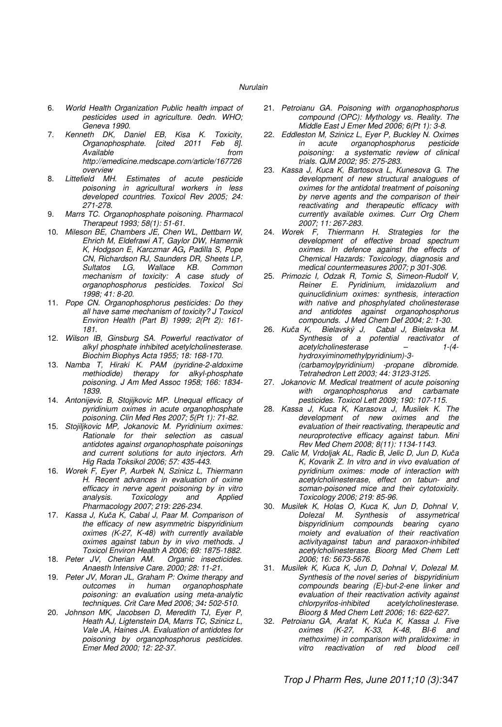- 6. World Health Organization Public health impact of pesticides used in agriculture. 0edn. WHO; Geneva 1990.
- 7. Kenneth DK, Daniel EB, Kisa K. Toxicity, Organophosphate. [cited 2011 Feb 8]. Available http://emedicine.medscape.com/article/167726 overview<br>Littefield MH.
- 8. Littefield MH. Estimates of acute pesticide poisoning in agricultural workers in less developed countries. Toxicol Rev 2005; 24: 271-278.
- 9. Marrs TC. Organophosphate poisoning. Pharmacol Therapeut 1993; 58(1): 51-61.
- 10. Mileson BE, Chambers JE, Chen WL, Dettbarn W, Ehrich M, Eldefrawi AT, Gaylor DW, Hamernik K, Hodgson E, Karczmar AG**,** Padilla S, Pope CN, Richardson RJ, Saunders DR, Sheets LP, Sultatos LG, Wallace KB. Common mechanism of toxicity: A case study of organophosphorus pesticides. Toxicol Sci 1998; 41: 8-20.
- 11. Pope CN. Organophosphorus pesticides: Do they all have same mechanism of toxicity? J Toxicol Environ Health (Part B) 1999; 2(Pt 2): 161- 181.
- 12. Wilson IB, Ginsburg SA. Powerful reactivator of alkyl phosphate inhibited acetylcholinesterase. Biochim Biophys Acta 1955; 18: 168-170.
- 13. Namba T, Hiraki K. PAM (pyridine-2-aldoxime methiodide) therapy for alkyl-phosphate poisoning. J Am Med Assoc 1958; 166: 1834- 1839.
- 14. Antonijevic B, Stojijkovic MP. Unequal efficacy of pyridinium oximes in acute organophosphate poisoning. Clin Med Res 2007; 5(Pt 1): 71-82.
- 15. Stojiljkovic MP, Jokanovic M. Pyridinium oximes: Rationale for their selection as casual antidotes against organophosphate poisonings and current solutions for auto injectors. Arh Hig Rada Toksikol 2006; 57: 435-443.
- 16. Worek F, Eyer P, Aurbek N, Szinicz L, Thiermann H. Recent advances in evaluation of oxime efficacy in nerve agent poisoning by in vitro<br>analysis. Toxicology and Applied Toxicology and Applied Pharmacology 2007; 219: 226-234.
- 17. Kassa J, Kuča K, Cabal J, Paar M. Comparison of the efficacy of new asymmetric bispyridinium oximes (K-27, K-48) with currently available oximes against tabun by in vivo methods. J Toxicol Environ Health A 2006; 69: 1875-1882.
- 18. Peter JV, Cherian AM. Organic insecticides. Anaesth Intensive Care. 2000; 28: 11-21.
- 19. Peter JV, Moran JL, Graham P: Oxime therapy and outcomes in human organophosphate poisoning: an evaluation using meta-analytic techniques. Crit Care Med 2006; 34**:** 502-510.
- 20. Johnson MK, Jacobsen D, Meredith TJ, Eyer P, Heath AJ, Ligtenstein DA, Marrs TC, Szinicz L, Vale JA, Haines JA. Evaluation of antidotes for poisoning by organophosphorus pesticides. Emer Med 2000; 12: 22-37.
- 21. Petroianu GA. Poisoning with organophosphorus compound (OPC): Mythology vs. Reality. The Middle East J Emer Med 2006; 6(Pt 1): 3-8.
- 22. Eddleston M, Szinicz L, Eyer P, Buckley N. Oximes in acute organophosphorus<br>poisoning: a systematic review a systematic review of clinical trials. QJM 2002; 95: 275-283.
- 23. Kassa J, Kuca K, Bartosova L, Kunesova G. The development of new structural analogues of oximes for the antidotal treatment of poisoning by nerve agents and the comparison of their reactivating and therapeutic efficacy with currently available oximes. Curr Org Chem 2007; 11: 267-283.
- 24. Worek F, Thiermann H. Strategies for the development of effective broad spectrum oximes. In defence against the effects of Chemical Hazards: Toxicology, diagnosis and medical countermeasures 2007; p 301-306.
- 25. Primozic I, Odzak R, Tomic S, Simeon-Rudolf V, Reiner E. Pyridinium, imidazolium and quinuclidinium oximes: synthesis, interaction with native and phosphylated cholinesterase and antidotes against organophosphorus compounds. J Med Chem Def 2004; 2: 1-30.
- 26. Kuča K, Bielavský J, Cabal J, Bielavska M. Synthesis of a potential reactivator of acetylcholinesterase – 1-(4 hydroxyiminomethylpyridinium)-3- (carbamoylpyridinium) -propane dibromide. Tetrahedron Lett 2003; 44: 3123-3125.
- 27. Jokanovic M. Medical treatment of acute poisoning with organophosphorus and carbamate pesticides. Toxicol Lett 2009; 190: 107-115.
- 28. Kassa J, Kuca K, Karasova J, Musilek K. The development of new oximes and the evaluation of their reactivating, therapeutic and neuroprotective efficacy against tabun. Mini Rev Med Chem 2008; 8(11): 1134-1143.
- 29. Calic M, Vrdoljak AL, Radic B, Jelic D, Jun D, Kuča K, Kovarik Z. In vitro and in vivo evaluation of pyridinium oximes: mode of interaction with acetylcholinesterase, effect on tabun- and soman-poisoned mice and their cytotoxicity. Toxicology 2006; 219: 85-96.
- 30. Musilek K, Holas O, Kuca K, Jun D, Dohnal V, Synthesis of assymetrical bispyridinium compounds bearing cyano moiety and evaluation of their reactivation activityagainst tabun and paraoxon-inhibited acetylcholinesterase. Bioorg Med Chem Lett 2006; 16: 5673-5676.
- 31. Musilek K, Kuca K, Jun D, Dohnal V, Dolezal M. Synthesis of the novel series of bispyridinium compounds bearing (E)-but-2-ene linker and evaluation of their reactivation activity against chlorpyrifos-inhibited acetylcholinesterase. Bioorg & Med Chem Lett 2006; 16: 622-627.
- 32. Petroianu GA, Arafat K, Kuča K, Kassa J. Five oximes (K-27, K-33, K-48, BI-6 and methoxime) in comparison with pralidoxime: in<br>vitro reactivation of red blood cell vitro reactivation of red blood cell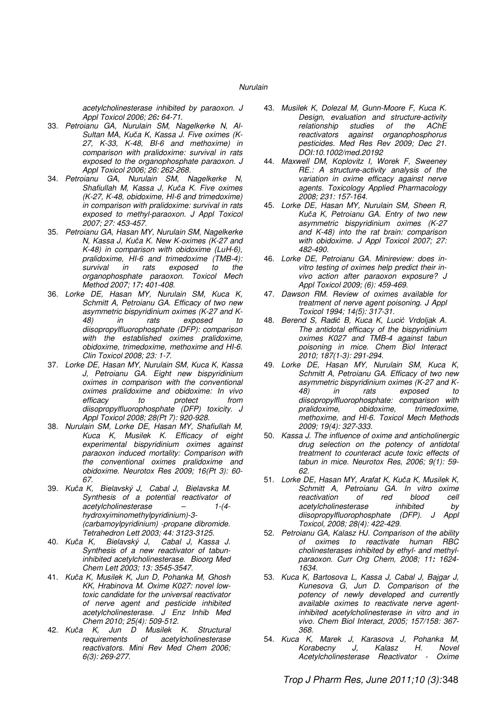acetylcholinesterase inhibited by paraoxon. J Appl Toxicol 2006; 26**:** 64-71.

- 33. Petroianu GA, Nurulain SM, Nagelkerke N, Al-Sultan MA, Kuča K, Kassa J. Five oximes (K-27, K-33, K-48, BI-6 and methoxime) in comparison with pralidoxime: survival in rats exposed to the organophosphate paraoxon. J Appl Toxicol 2006; 26: 262-268.
- 34. Petroianu GA, Nurulain SM, Nagelkerke N, Shafiullah M, Kassa J, Kuča K. Five oximes (K-27, K-48, obidoxime, HI-6 and trimedoxime) in comparison with pralidoxime: survival in rats exposed to methyl-paraoxon. J Appl Toxicol 2007; 27: 453-457.
- 35. Petroianu GA, Hasan MY, Nurulain SM, Nagelkerke N, Kassa J, Kuča K. New K-oximes (K-27 and K-48) in comparison with obidoxime (LuH-6), pralidoxime, HI-6 and trimedoxime (TMB-4): survival in rats exposed to the organophosphate paraoxon. Toxicol Mech Method 2007; 17**:** 401-408.
- 36. Lorke DE, Hasan MY, Nurulain SM, Kuca K, Schmitt A, Petroianu GA. Efficacy of two new asymmetric bispyridinium oximes (K-27 and K-48) in rats exposed to diisopropylfluorophosphate (DFP): comparison with the established oximes pralidoxime, obidoxime, trimedoxime, methoxime and HI-6. Clin Toxicol 2008; 23: 1-7.
- 37. Lorke DE, Hasan MY, Nurulain SM, Kuca K, Kassa J, Petroianu GA. Eight new bispyridinium oximes in comparison with the conventional oximes pralidoxime and obidoxime: In vivo efficacy to protect from diisopropylfluorophosphate (DFP) toxicity. J Appl Toxicol 2008; 28(Pt 7): 920-928.
- 38. Nurulain SM, Lorke DE, Hasan MY, Shafiullah M, Kuca K, Musilek K. Efficacy of eight experimental bispyridinium oximes against paraoxon induced mortality: Comparison with the conventional oximes pralidoxime and obidoxime. Neurotox Res 2009; 16(Pt 3): 60- 67.
- 39. Kuča K, Bielavský J, Cabal J, Bielavska M. Synthesis of a potential reactivator of acetylcholinesterase – 1-(4 hydroxyiminomethylpyridinium)-3- (carbamoylpyridinium) -propane dibromide. Tetrahedron Lett 2003; 44: 3123-3125.
- 40. Kuča K, Bielavský J, Cabal J, Kassa J. Synthesis of a new reactivator of tabuninhibited acetylcholinesterase. Bioorg Med Chem Lett 2003; 13: 3545-3547.
- 41. Kuča K, Musilek K, Jun D, Pohanka M, Ghosh KK, Hrabinova M. Oxime K027: novel lowtoxic candidate for the universal reactivator of nerve agent and pesticide inhibited acetylcholinesterase. J Enz Inhib Med Chem 2010; 25(4): 509-512.
- 42. Kuča K, Jun D Musilek K. Structural requirements of acetylcholinesterase reactivators. Mini Rev Med Chem 2006; 6(3): 269-277.
- 43. Musilek K, Dolezal M, Gunn-Moore F, Kuca K. Design, evaluation and structure-activity relationship studies of the AChE reactivators against organophosphorus pesticides. Med Res Rev 2009; Dec 21. DOI:10.1002/med.20192
- 44. Maxwell DM, Koplovitz I, Worek F, Sweeney RE.: A structure-activity analysis of the variation in oxime efficacy against nerve agents. Toxicology Applied Pharmacology 2008; 231: 157-164.
- 45. Lorke DE, Hasan MY, Nurulain SM, Sheen R, Kuča K, Petroianu GA. Entry of two new asymmetric bispyridinium oximes (K-27 and K-48) into the rat brain: comparison with obidoxime. J Appl Toxicol 2007; 27: 482-490.
- 46. Lorke DE, Petroianu GA. Minireview: does invitro testing of oximes help predict their invivo action after paraoxon exposure? J Appl Toxicol 2009; (6): 459-469.
- 47. Dawson RM. Review of oximes available for treatment of nerve agent poisoning. J Appl Toxicol 1994; 14(5): 317-31.
- 48. Berend S, Radić B, Kuca K, Lucić Vrdoljak A. The antidotal efficacy of the bispyridinium oximes K027 and TMB-4 against tabun poisoning in mice. Chem Biol Interact 2010; 187(1-3): 291-294.
- 49. Lorke DE, Hasan MY, Nurulain SM, Kuca K, Schmitt A, Petroianu GA. Efficacy of two new asymmetric bispyridinium oximes (K-27 and K-48) in rats exposed to diisopropylfluorophosphate: comparison with<br>pralidoxime, obidoxime, trimedoxime, trimedoxime, methoxime, and HI-6. Toxicol Mech Methods 2009; 19(4): 327-333.
- 50. Kassa J. The influence of oxime and anticholinergic drug selection on the potency of antidotal treatment to counteract acute toxic effects of tabun in mice. Neurotox Res, 2006; 9(1): 59- 62.
- 51. Lorke DE, Hasan MY, Arafat K, Kuča K, Musilek K, Schmitt A, Petroianu GA. In vitro oxime<br>reactivation of red blood cell reactivation acetylcholinesterase inhibited by diisopropylfluorophosphate (DFP). J Appl Toxicol, 2008; 28(4): 422-429.
- 52. Petroianu GA, Kalasz HJ. Comparison of the ability of oximes to reactivate human RBC cholinesterases inhibited by ethyl- and methylparaoxon. Curr Org Chem, 2008; 11**:** 1624- 1634.
- 53. Kuca K, Bartosova L, Kassa J, Cabal J, Bajgar J, Kunesova G, Jun D. Comparison of the potency of newly developed and currently available oximes to reactivate nerve agentinhibited acetylcholinesterase in vitro and in vivo. Chem Biol Interact, 2005; 157/158: 367- 368.
- 54. Kuca K, Marek J, Karasova J, Pohanka M, Korabecny J, Kalasz H. Novel Acetylcholinesterase Reactivator - Oxime

Trop J Pharm Res, June 2011;10 (3): 348